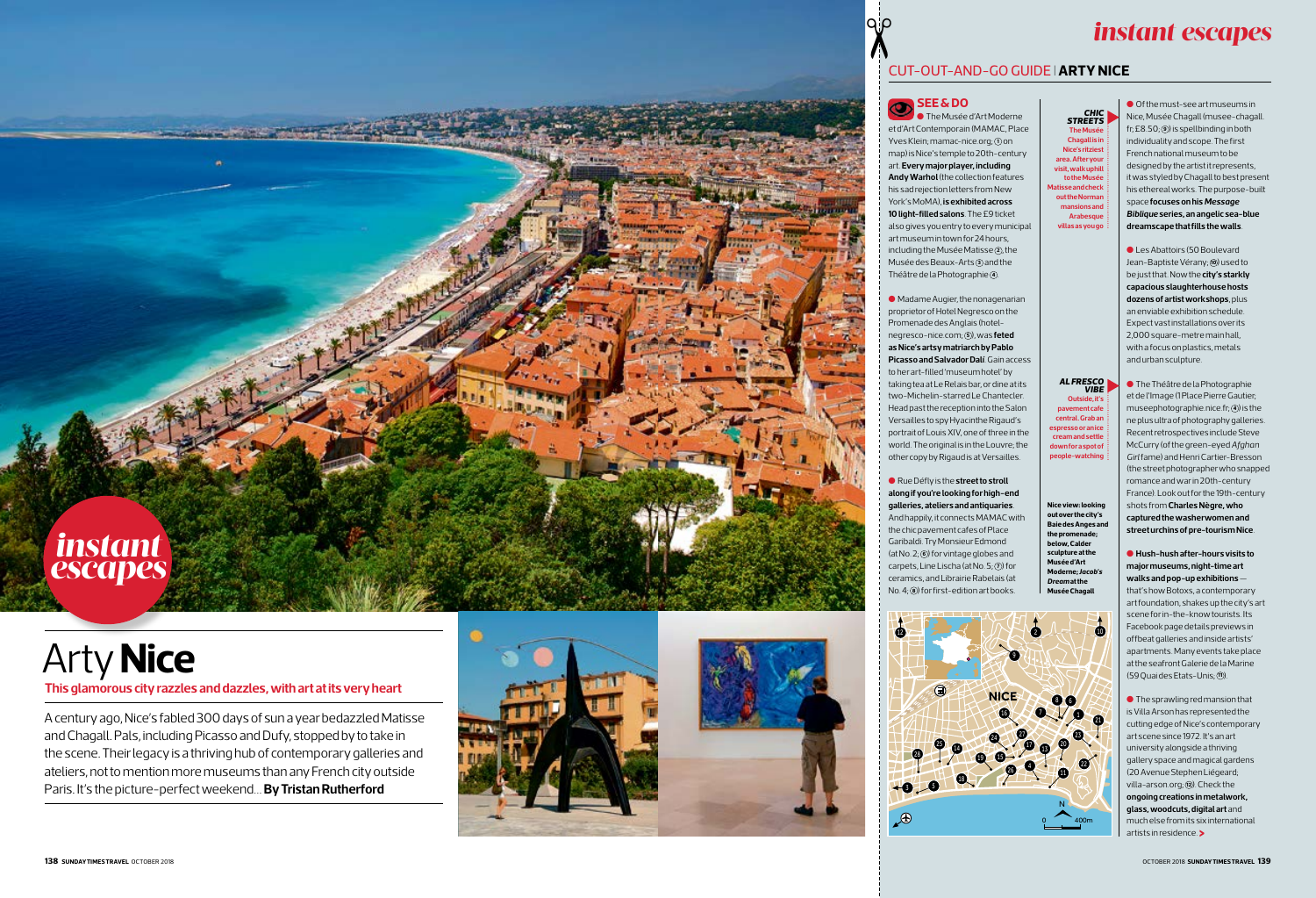# ✂

## *instant escapes*

## CUT-OUT-AND-GO GUIDE I**ARTY NICE**

# Arty **Nice**

**This glamorous city razzles and dazzles, with art at its very heart** 

A century ago, Nice's fabled 300 days of sun a year bedazzled Matisse and Chagall. Pals, including Picasso and Dufy, stopped by to take in the scene. Their legacy is a thriving hub of contemporary galleries and ateliers, not to mention more museums than any French city outside Paris. It's the picture-perfect weekend… **By Tristan Rutherford**



#### **See & do**   $^{\circledR}$





# *instant escapes*

l The Musée d'Art Moderne et d'Art Contemporain (MAMAC, Place Yves Klein; mamac-nice.org; **1** on map) is Nice's temple to 20th-century art. **Every major player, including Andy Warhol** (the collection features his sad rejection letters from New York's MoMA), **is exhibited across 10 light-filled salons**. The £9 ticket also gives you entry to every municipal art museum in town for 24 hours, including the Musée Matisse **<sup>2</sup>** , the Musée des Beaux-Arts **<sup>3</sup>** and the Théâtre de la Photographie **4** .

l Madame Augier, the nonagenarian proprietor of Hotel Negresco on the Promenade des Anglais (hotelnegresco-nice.com; **<sup>5</sup>** ), was **feted as Nice's artsy matriarch by Pablo Picasso and Salvador Dalí**. Gain access to her art-filled 'museum hotel' by taking tea at Le Relais bar, or dine at its two-Michelin-starred Le Chantecler. Head past the reception into the Salon Versailles to spy Hyacinthe Rigaud's portrait of Louis XIV, one of three in the world. The original is in the Louvre; the other copy by Rigaud is at Versailles.

● Les Abattoirs (50 Boulevard Jean-Baptiste Vérany; **10** used to be just that. Now the **city's starkly capacious slaughterhouse hosts dozens of artist workshops**, plus an enviable exhibition schedule. Expect vast installations over its 2,000 square-metre main hall, with a focus on plastics, metals and urban sculpture.

## **along if you're looking for high-end**

l Rue Défly is the **street to stroll galleries, ateliers and antiquaries**.

And happily, it connects MAMAC with the chic pavement cafes of Place Garibaldi. Try Monsieur Edmond (at No. 2; **<sup>6</sup>** ) for vintage globes and carpets, Line Lischa (at No. 5; **<sup>7</sup>** ) for ceramics, and Librairie Rabelais (at No. 4; **<sup>8</sup>** ) for first-edition art books.

**The Musée Chagall is in Nice's ritziest area. After your visit, walk uphill to the Musée Matisse and check out the Norman mansions and Arabesque villas as you go** *CHi Streets* **c** 

**Nice view: looking out over the city's Baie des Anges and the promenade; below, Calder sculpture at the Musée d'Art Moderne;** *Jacob's Dream* **at the Musée Chagall**

> **>** artists in residence. l The sprawling red mansion that is Villa Arson has represented the cutting edge of Nice's contemporary art scene since 1972. It's an art university alongside a thriving gallery space and magical gardens (20 Avenue Stephen Liégeard; villa-arson.org; **<sup>12</sup>** ). Check the **ongoing creations in metalwork, glass, woodcuts, digital art** and much elsefrom its six international

l Of the must-see art museums in Nice, Musée Chagall (musee-chagall. fr; £8.50; **<sup>9</sup>** ) is spellbinding in both individuality and scope. The first French national museum to be designed by the artist it represents, it was styled by Chagall to best present his ethereal works. The purpose-built space **focuses on his** *Message Biblique* **series, an angelic sea-blue dreamscape that fills the walls**.

l The Théâtre de la Photographie et de l'Image (1 Place Pierre Gautier; museephotographie.nice.fr; **<sup>4</sup>** ) is the ne plus ultra of photography galleries. Recent retrospectives include Steve McCurry (of the green-eyed *Afghan Girl* fame) and Henri Cartier-Bresson (the street photographer who snapped romance and war in 20th-century France). Look out for the 19th-century shots from **Charles Nègre, who captured the washerwomen and street urchins of pre-tourism Nice** .

l **Hush-hush after-hours visits to major museums, night-time art walks and pop-up exhibitions** that's how Botoxs, a contemporary art foundation, shakes up the city's art scene for in-the-know tourists. Its Facebook page details previews in offbeat galleries and inside artists' apartments. Many events take place at the seafront Galerie de la Marine (59 Quai des Etats-Unis; **<sup>11</sup>** ).

**Outside, it's pavement cafe central. Grab an espresso or an ice cream and settle down for a spot of people-watching** *AL fresco vibe*